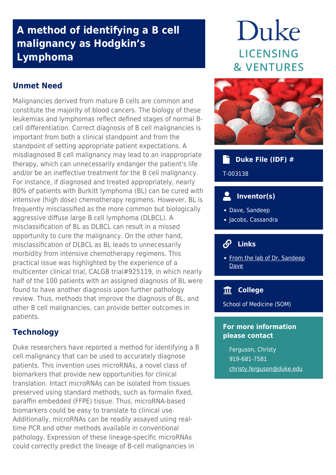## **A method of identifying a B cell malignancy as Hodgkin's Lymphoma**

## **Unmet Need**

Malignancies derived from mature B cells are common and constitute the majority of blood cancers. The biology of these leukemias and lymphomas reflect defined stages of normal Bcell differentiation. Correct diagnosis of B cell malignancies is important from both a clinical standpoint and from the standpoint of setting appropriate patient expectations. A misdiagnosed B cell malignancy may lead to an inappropriate therapy, which can unnecessarily endanger the patient's life and/or be an ineffective treatment for the B cell malignancy. For instance, if diagnosed and treated appropriately, nearly 80% of patients with Burkitt lymphoma (BL) can be cured with intensive (high dose) chemotherapy regimens. However, BL is frequently misclassified as the more common but biologically aggressive diffuse large B cell lymphoma (DLBCL). A misclassification of BL as DLBCL can result in a missed opportunity to cure the malignancy. On the other hand, misclassification of DLBCL as BL leads to unnecessarily morbidity from intensive chemotherapy regimens. This practical issue was highlighted by the experience of a multicenter clinical trial, CALGB trial#925119, in which nearly half of the 100 patients with an assigned diagnosis of BL were found to have another diagnosis upon further pathology review. Thus, methods that improve the diagnosis of BL, and other B cell malignancies, can provide better outcomes in patients.

## **Technology**

Duke researchers have reported a method for identifying a B cell malignancy that can be used to accurately diagnose patients. This invention uses microRNAs, a novel class of biomarkers that provide new opportunities for clinical translation. Intact microRNAs can be isolated from tissues preserved using standard methods, such as formalin fixed, paraffin embedded (FFPE) tissue. Thus, microRNA-based biomarkers could be easy to translate to clinical use. Additionally, microRNAs can be readily assayed using realtime PCR and other methods available in conventional pathology. Expression of these lineage-specific microRNAs could correctly predict the lineage of B-cell malignancies in

# Duke **LICENSING & VENTURES**



#### Th<sub>e</sub>  **Duke File (IDF) #**

T-003138

#### $\overline{\mathbf{S}}$  **Inventor(s)**

- Dave, Sandeep
- · Jacobs, Cassandra

#### $\mathcal{S}$  **Links**

• [From the lab of Dr. Sandeep](http://davelab.org/) [Dave](http://davelab.org/)

## **College**

School of Medicine (SOM)

## **For more information please contact**

Ferguson, Christy 919-681-7581 [christy.ferguson@duke.edu](mailto:christy.ferguson@duke.edu)